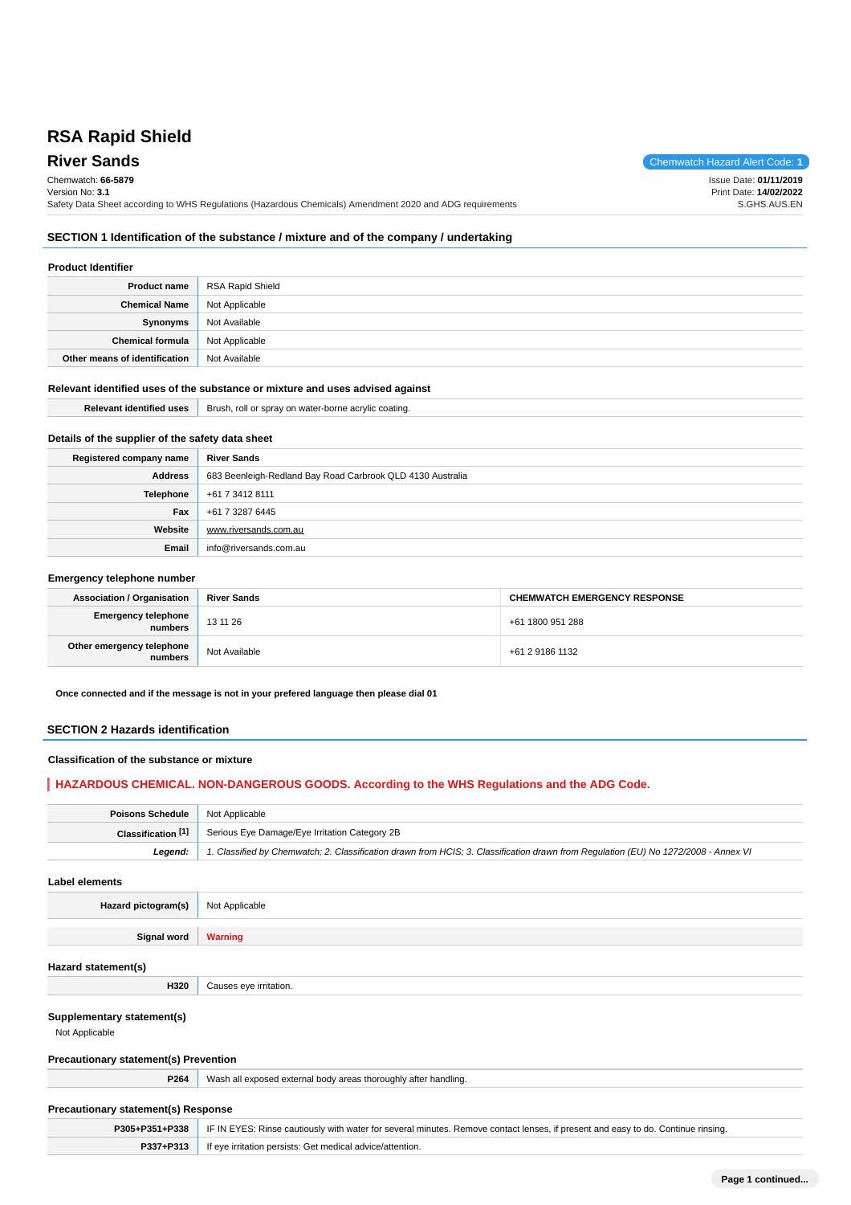# **RSA Rapid Shield**

**River Sands** Chemwatch Hazard Alert Code: **1** Chemwatch: **66-5879** Version No: **3.1** Safety Data Sheet according to WHS Regulations (Hazardous Chemicals) Amendment 2020 and ADG requirements Issue Date: **01/11/2019** Print Date: **14/02/2022** S.GHS.AUS.EN

# **SECTION 1 Identification of the substance / mixture and of the company / undertaking**

# **Product Identifier**

| <b>Product name</b>           | <b>RSA Rapid Shield</b> |
|-------------------------------|-------------------------|
| <b>Chemical Name</b>          | Not Applicable          |
| <b>Synonyms</b>               | Not Available           |
| <b>Chemical formula</b>       | Not Applicable          |
| Other means of identification | Not Available           |

# **Relevant identified uses of the substance or mixture and uses advised against**

| <b>Relevant identified uses</b>                  | Brush, roll or spray on water-borne acrylic coating.       |  |  |
|--------------------------------------------------|------------------------------------------------------------|--|--|
| Details of the supplier of the safety data sheet |                                                            |  |  |
|                                                  |                                                            |  |  |
| Registered company name                          | <b>River Sands</b>                                         |  |  |
| <b>Address</b>                                   | 683 Beenleigh-Redland Bay Road Carbrook QLD 4130 Australia |  |  |
| <b>Telephone</b>                                 | +61 7 3412 8111                                            |  |  |
| Fax                                              | +61 7 3287 6445                                            |  |  |
| Website                                          | www.riversands.com.au                                      |  |  |
| Email                                            | info@riversands.com.au                                     |  |  |

#### **Emergency telephone number**

| <b>Association / Organisation</b>    | <b>River Sands</b> | <b>CHEMWATCH EMERGENCY RESPONSE</b> |  |
|--------------------------------------|--------------------|-------------------------------------|--|
| Emergency telephone<br>numbers       | 13 11 26           | +61 1800 951 288                    |  |
| Other emergency telephone<br>numbers | Not Available      | +61 2 9186 1132                     |  |

**Once connected and if the message is not in your prefered language then please dial 01**

#### **SECTION 2 Hazards identification**

### **Classification of the substance or mixture**

# **HAZARDOUS CHEMICAL. NON-DANGEROUS GOODS. According to the WHS Regulations and the ADG Code.**

| <b>Poisons Schedule</b> Not Applicable |                                                                                                                                     |
|----------------------------------------|-------------------------------------------------------------------------------------------------------------------------------------|
| Classification $[1]$                   | Serious Eye Damage/Eye Irritation Category 2B                                                                                       |
| Leaend:                                | 1. Classified by Chemwatch; 2. Classification drawn from HCIS; 3. Classification drawn from Requlation (EU) No 1272/2008 - Annex VI |

**Label elements**

**Hazard pictogram(s)** Not Applicable

**Signal word Warning**

#### **Hazard statement(s)**

#### **Supplementary statement(s)**

Not Applicable

#### **Precautionary statement(s) Prevention**

**H320** Causes eye irritation.

**P264** Wash all exposed external body areas thoroughly after handling.

# **Precautionary statement(s) Response**

|           | <b>P305+P351+P338</b>   IF IN EYES: Rinse cautiously with water for several minutes. Remove contact lenses, if present and easy to do. Continue rinsing. |  |
|-----------|----------------------------------------------------------------------------------------------------------------------------------------------------------|--|
| P337+P313 | If eye irritation persists: Get medical advice/attention.                                                                                                |  |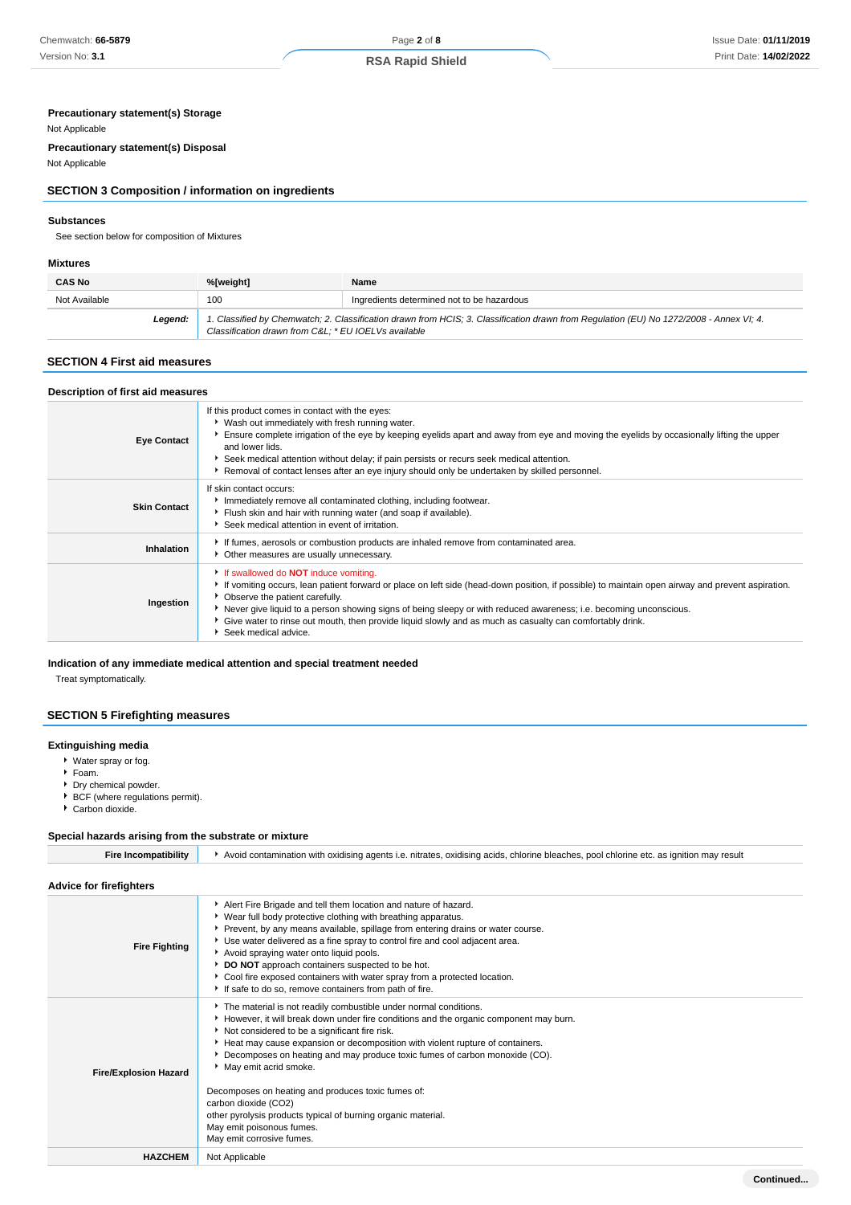# **Precautionary statement(s) Storage**

#### Not Applicable

**Precautionary statement(s) Disposal**

# Not Applicable

# **SECTION 3 Composition / information on ingredients**

#### **Substances**

See section below for composition of Mixtures

#### **Mixtures**

| <b>CAS No</b> | %[weight]                                                                                                                                                                                      | Name                                       |  |
|---------------|------------------------------------------------------------------------------------------------------------------------------------------------------------------------------------------------|--------------------------------------------|--|
| Not Available | 100                                                                                                                                                                                            | Ingredients determined not to be hazardous |  |
| Leaend:       | 1. Classified by Chemwatch; 2. Classification drawn from HCIS; 3. Classification drawn from Regulation (EU) No 1272/2008 - Annex VI; 4.<br>Classification drawn from C&L * EU IOELVs available |                                            |  |

## **SECTION 4 First aid measures**

| Description of first aid measures |                                                                                                                                                                                                                                                                                                                                                                                                                                                                                                  |
|-----------------------------------|--------------------------------------------------------------------------------------------------------------------------------------------------------------------------------------------------------------------------------------------------------------------------------------------------------------------------------------------------------------------------------------------------------------------------------------------------------------------------------------------------|
| <b>Eye Contact</b>                | If this product comes in contact with the eyes:<br>▶ Wash out immediately with fresh running water.<br>Ensure complete irrigation of the eye by keeping eyelids apart and away from eye and moving the eyelids by occasionally lifting the upper<br>and lower lids.<br>▶ Seek medical attention without delay; if pain persists or recurs seek medical attention.<br>Removal of contact lenses after an eye injury should only be undertaken by skilled personnel.                               |
| <b>Skin Contact</b>               | If skin contact occurs:<br>Immediately remove all contaminated clothing, including footwear.<br>Fiush skin and hair with running water (and soap if available).<br>Seek medical attention in event of irritation.                                                                                                                                                                                                                                                                                |
| Inhalation                        | If fumes, aerosols or combustion products are inhaled remove from contaminated area.<br>• Other measures are usually unnecessary.                                                                                                                                                                                                                                                                                                                                                                |
| Ingestion                         | If swallowed do <b>NOT</b> induce vomiting.<br>If vomiting occurs, lean patient forward or place on left side (head-down position, if possible) to maintain open airway and prevent aspiration.<br>• Observe the patient carefully.<br>▶ Never give liquid to a person showing signs of being sleepy or with reduced awareness; i.e. becoming unconscious.<br>• Give water to rinse out mouth, then provide liquid slowly and as much as casualty can comfortably drink.<br>Seek medical advice. |

# **Indication of any immediate medical attention and special treatment needed**

Treat symptomatically.

# **SECTION 5 Firefighting measures**

#### **Extinguishing media**

- Water spray or fog.
- Foam.
- Dry chemical powder.
- BCF (where regulations permit).
- Carbon dioxide.

# **Special hazards arising from the substrate or mixture**

| <b>Fire Incompatibility</b>    | Avoid contamination with oxidising agents i.e. nitrates, oxidising acids, chlorine bleaches, pool chlorine etc. as ignition may result                                                                                                                                                                                                                                                                                                                                                                                                                                                                      |  |  |  |  |
|--------------------------------|-------------------------------------------------------------------------------------------------------------------------------------------------------------------------------------------------------------------------------------------------------------------------------------------------------------------------------------------------------------------------------------------------------------------------------------------------------------------------------------------------------------------------------------------------------------------------------------------------------------|--|--|--|--|
| <b>Advice for firefighters</b> |                                                                                                                                                                                                                                                                                                                                                                                                                                                                                                                                                                                                             |  |  |  |  |
| <b>Fire Fighting</b>           | Alert Fire Brigade and tell them location and nature of hazard.<br>▶ Wear full body protective clothing with breathing apparatus.<br>Prevent, by any means available, spillage from entering drains or water course.<br>Use water delivered as a fine spray to control fire and cool adjacent area.<br>Avoid spraying water onto liquid pools.<br>DO NOT approach containers suspected to be hot.<br>Cool fire exposed containers with water spray from a protected location.<br>If safe to do so, remove containers from path of fire.                                                                     |  |  |  |  |
| <b>Fire/Explosion Hazard</b>   | The material is not readily combustible under normal conditions.<br>However, it will break down under fire conditions and the organic component may burn.<br>Not considered to be a significant fire risk.<br>Heat may cause expansion or decomposition with violent rupture of containers.<br>Decomposes on heating and may produce toxic fumes of carbon monoxide (CO).<br>May emit acrid smoke.<br>Decomposes on heating and produces toxic fumes of:<br>carbon dioxide (CO2)<br>other pyrolysis products typical of burning organic material.<br>May emit poisonous fumes.<br>May emit corrosive fumes. |  |  |  |  |
| <b>HAZCHEM</b>                 | Not Applicable                                                                                                                                                                                                                                                                                                                                                                                                                                                                                                                                                                                              |  |  |  |  |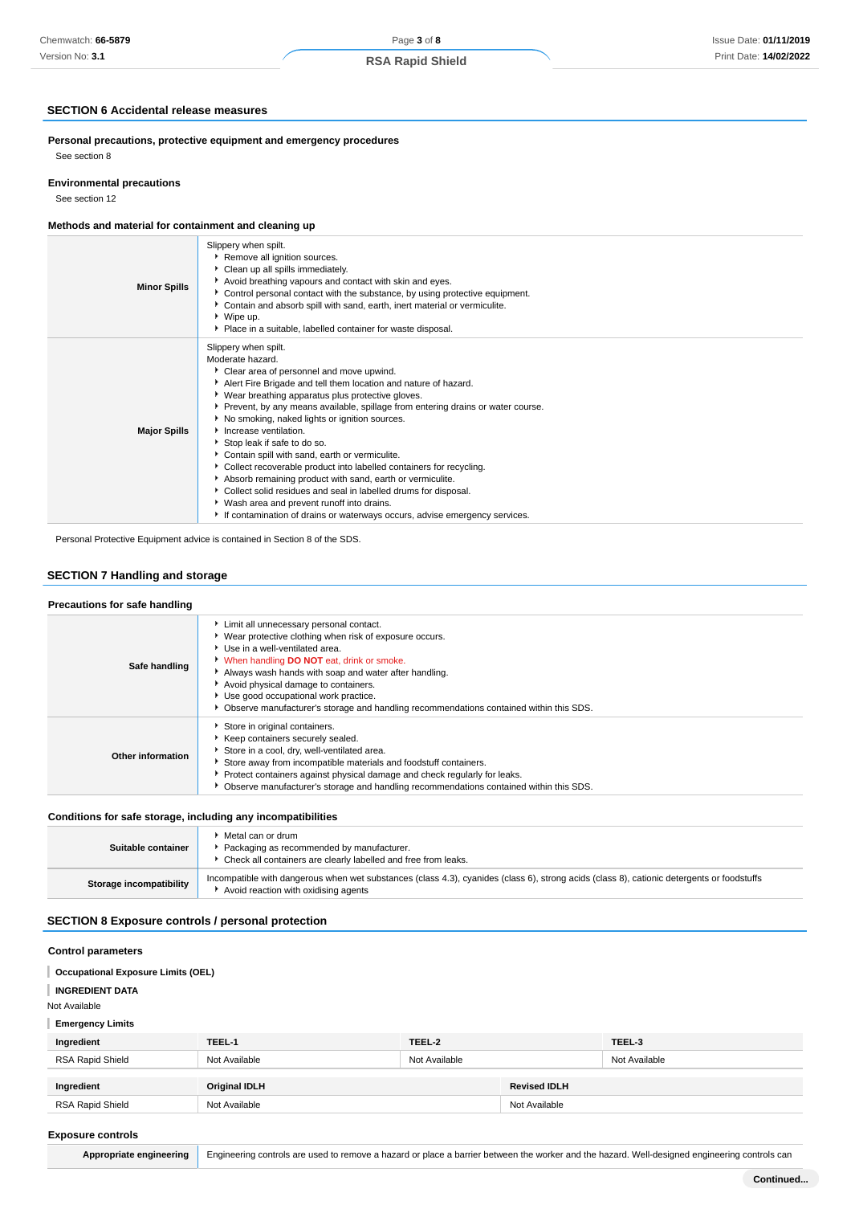# **RSA Rapid Shield**

# **SECTION 6 Accidental release measures**

**Personal precautions, protective equipment and emergency procedures** See section 8

#### **Environmental precautions**

See section 12

# **Methods and material for containment and cleaning up**

| <b>Minor Spills</b> | Slippery when spilt.<br>Remove all ignition sources.<br>Clean up all spills immediately.<br>Avoid breathing vapours and contact with skin and eyes.<br>▶ Control personal contact with the substance, by using protective equipment.<br>Contain and absorb spill with sand, earth, inert material or vermiculite.<br>▶ Wipe up.<br>• Place in a suitable, labelled container for waste disposal.                                                                                                                                                                                                                                                                                                                                                                                                  |
|---------------------|---------------------------------------------------------------------------------------------------------------------------------------------------------------------------------------------------------------------------------------------------------------------------------------------------------------------------------------------------------------------------------------------------------------------------------------------------------------------------------------------------------------------------------------------------------------------------------------------------------------------------------------------------------------------------------------------------------------------------------------------------------------------------------------------------|
| <b>Major Spills</b> | Slippery when spilt.<br>Moderate hazard.<br>Clear area of personnel and move upwind.<br>Alert Fire Brigade and tell them location and nature of hazard.<br>▶ Wear breathing apparatus plus protective gloves.<br>▶ Prevent, by any means available, spillage from entering drains or water course.<br>No smoking, naked lights or ignition sources.<br>Increase ventilation.<br>Stop leak if safe to do so.<br>Contain spill with sand, earth or vermiculite.<br>Collect recoverable product into labelled containers for recycling.<br>Absorb remaining product with sand, earth or vermiculite.<br>Collect solid residues and seal in labelled drums for disposal.<br>▶ Wash area and prevent runoff into drains.<br>If contamination of drains or waterways occurs, advise emergency services. |

Personal Protective Equipment advice is contained in Section 8 of the SDS.

# **SECTION 7 Handling and storage**

# **Precautions for safe handling**

| Safe handling     | Limit all unnecessary personal contact.<br>▶ Wear protective clothing when risk of exposure occurs.<br>Use in a well-ventilated area.<br>V When handling DO NOT eat, drink or smoke.<br>Always wash hands with soap and water after handling.<br>Avoid physical damage to containers.<br>Use good occupational work practice.<br>▶ Observe manufacturer's storage and handling recommendations contained within this SDS. |
|-------------------|---------------------------------------------------------------------------------------------------------------------------------------------------------------------------------------------------------------------------------------------------------------------------------------------------------------------------------------------------------------------------------------------------------------------------|
| Other information | Store in original containers.<br>▶ Keep containers securely sealed.<br>Store in a cool, dry, well-ventilated area.<br>Store away from incompatible materials and foodstuff containers.<br>▶ Protect containers against physical damage and check regularly for leaks.<br>• Observe manufacturer's storage and handling recommendations contained within this SDS.                                                         |

# **Conditions for safe storage, including any incompatibilities**

| Suitable container      | Metal can or drum<br>Packaging as recommended by manufacturer.<br>Check all containers are clearly labelled and free from leaks.                                                   |
|-------------------------|------------------------------------------------------------------------------------------------------------------------------------------------------------------------------------|
| Storage incompatibility | Incompatible with dangerous when wet substances (class 4.3), cyanides (class 6), strong acids (class 8), cationic detergents or foodstuffs<br>Avoid reaction with oxidising agents |

# **SECTION 8 Exposure controls / personal protection**

#### **Control parameters**

#### **Occupational Exposure Limits (OEL)** ı

**INGREDIENT DATA**

Not Available

## **Emergency Limits**

| Ingredient       | TEEL-1               | TEEL-2        |                     | TEEL-3        |  |
|------------------|----------------------|---------------|---------------------|---------------|--|
| RSA Rapid Shield | Not Available        | Not Available |                     | Not Available |  |
|                  |                      |               |                     |               |  |
| Ingredient       | <b>Original IDLH</b> |               | <b>Revised IDLH</b> |               |  |
| RSA Rapid Shield | Not Available        |               | Not Available       |               |  |

#### **Exposure controls**

Appropriate engineering Engineering controls are used to remove a hazard or place a barrier between the worker and the hazard. Well-designed engineering controls can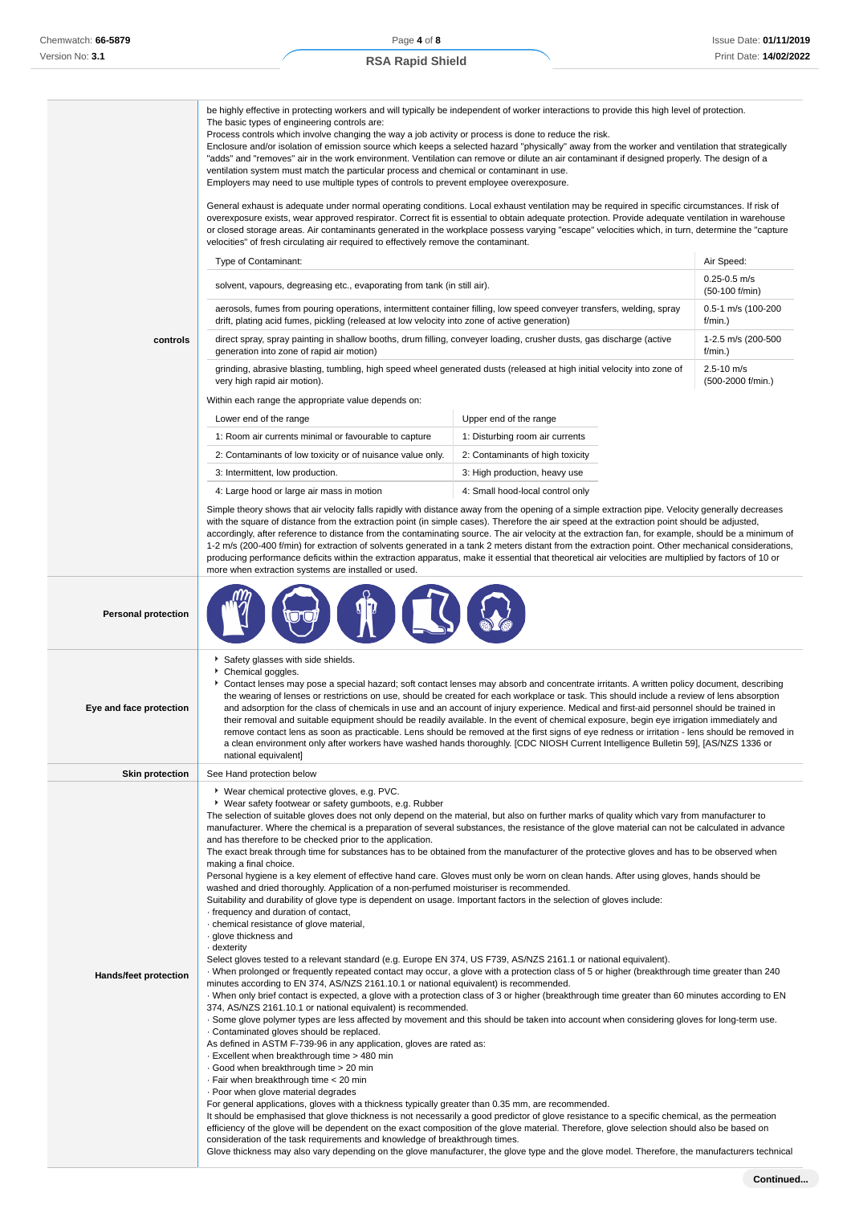The basic types of engineering controls are:

be highly effective in protecting workers and will typically be independent of worker interactions to provide this high level of protection.

#### **controls** Process controls which involve changing the way a job activity or process is done to reduce the risk. Enclosure and/or isolation of emission source which keeps a selected hazard "physically" away from the worker and ventilation that strategically "adds" and "removes" air in the work environment. Ventilation can remove or dilute an air contaminant if designed properly. The design of a ventilation system must match the particular process and chemical or contaminant in use. Employers may need to use multiple types of controls to prevent employee overexposure. General exhaust is adequate under normal operating conditions. Local exhaust ventilation may be required in specific circumstances. If risk of overexposure exists, wear approved respirator. Correct fit is essential to obtain adequate protection. Provide adequate ventilation in warehouse or closed storage areas. Air contaminants generated in the workplace possess varying "escape" velocities which, in turn, determine the "capture velocities" of fresh circulating air required to effectively remove the contaminant. Type of Contaminant: Air Speed: Air Speed: Air Speed: Air Speed: Air Speed: Air Speed: Air Speed: Air Speed: Air Speed: Air Speed: Air Speed: Air Speed: Air Speed: Air Speed: Air Speed: Air Speed: Air Speed: Air Speed: Air solvent, vapours, degreasing etc., evaporating from tank (in still air). 0.25-0.5 m/s (50-100 f/min) aerosols, fumes from pouring operations, intermittent container filling, low speed conveyer transfers, welding, spray drift, plating acid fumes, pickling (released at low velocity into zone of active generation) 0.5-1 m/s (100-200 f/min.) direct spray, spray painting in shallow booths, drum filling, conveyer loading, crusher dusts, gas discharge (active generation into zone of rapid air motion) 1-2.5 m/s (200-500  $f/min$ ) grinding, abrasive blasting, tumbling, high speed wheel generated dusts (released at high initial velocity into zone of very high rapid air motion). 2.5-10 m/s (500-2000 f/min.) Within each range the appropriate value depends on: Lower end of the range Lower end of the range 1: Room air currents minimal or favourable to capture 1: Disturbing room air currents 2: Contaminants of low toxicity or of nuisance value only. 2: Contaminants of high toxicity 3: Intermittent, low production. 3: High production, heavy use 4: Large hood or large air mass in motion 4: Small hood-local control only Simple theory shows that air velocity falls rapidly with distance away from the opening of a simple extraction pipe. Velocity generally decreases with the square of distance from the extraction point (in simple cases). Therefore the air speed at the extraction point should be adjusted. accordingly, after reference to distance from the contaminating source. The air velocity at the extraction fan, for example, should be a minimum of 1-2 m/s (200-400 f/min) for extraction of solvents generated in a tank 2 meters distant from the extraction point. Other mechanical considerations, producing performance deficits within the extraction apparatus, make it essential that theoretical air velocities are multiplied by factors of 10 or more when extraction systems are installed or used. **Personal protection Eye and face protection** Safety glasses with side shields. Chemical goggles. Contact lenses may pose a special hazard; soft contact lenses may absorb and concentrate irritants. A written policy document, describing the wearing of lenses or restrictions on use, should be created for each workplace or task. This should include a review of lens absorption and adsorption for the class of chemicals in use and an account of injury experience. Medical and first-aid personnel should be trained in their removal and suitable equipment should be readily available. In the event of chemical exposure, begin eye irrigation immediately and remove contact lens as soon as practicable. Lens should be removed at the first signs of eye redness or irritation - lens should be removed in a clean environment only after workers have washed hands thoroughly. [CDC NIOSH Current Intelligence Bulletin 59], [AS/NZS 1336 or national equivalent] **Skin protection** See Hand protection below **Hands/feet protection** Wear chemical protective gloves, e.g. PVC. Wear safety footwear or safety gumboots, e.g. Rubber The selection of suitable gloves does not only depend on the material, but also on further marks of quality which vary from manufacturer to manufacturer. Where the chemical is a preparation of several substances, the resistance of the glove material can not be calculated in advance and has therefore to be checked prior to the application. The exact break through time for substances has to be obtained from the manufacturer of the protective gloves and has to be observed when making a final choice. Personal hygiene is a key element of effective hand care. Gloves must only be worn on clean hands. After using gloves, hands should be washed and dried thoroughly. Application of a non-perfumed moisturiser is recommended. Suitability and durability of glove type is dependent on usage. Important factors in the selection of gloves include: · frequency and duration of contact, · chemical resistance of glove material, · glove thickness and dexterity Select gloves tested to a relevant standard (e.g. Europe EN 374, US F739, AS/NZS 2161.1 or national equivalent). · When prolonged or frequently repeated contact may occur, a glove with a protection class of 5 or higher (breakthrough time greater than 240 minutes according to EN 374, AS/NZS 2161.10.1 or national equivalent) is recommended. · When only brief contact is expected, a glove with a protection class of 3 or higher (breakthrough time greater than 60 minutes according to EN 374, AS/NZS 2161.10.1 or national equivalent) is recommended. · Some glove polymer types are less affected by movement and this should be taken into account when considering gloves for long-term use. · Contaminated gloves should be replaced. As defined in ASTM F-739-96 in any application, gloves are rated as: · Excellent when breakthrough time > 480 min · Good when breakthrough time > 20 min · Fair when breakthrough time < 20 min · Poor when glove material degrades For general applications, gloves with a thickness typically greater than 0.35 mm, are recommended. It should be emphasised that glove thickness is not necessarily a good predictor of glove resistance to a specific chemical, as the permeation efficiency of the glove will be dependent on the exact composition of the glove material. Therefore, glove selection should also be based on consideration of the task requirements and knowledge of breakthrough times. Glove thickness may also vary depending on the glove manufacturer, the glove type and the glove model. Therefore, the manufacturers technical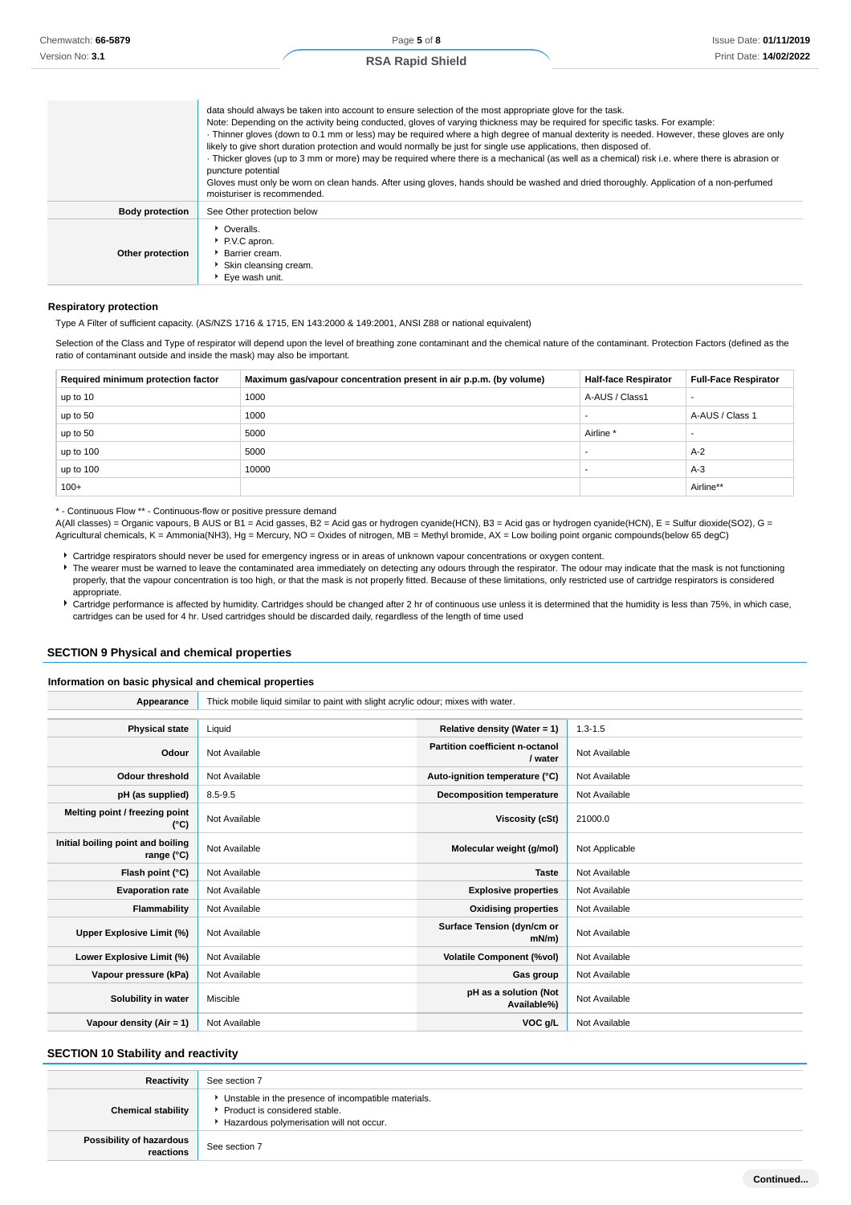|                        | data should always be taken into account to ensure selection of the most appropriate glove for the task.<br>Note: Depending on the activity being conducted, gloves of varying thickness may be required for specific tasks. For example:<br>· Thinner gloves (down to 0.1 mm or less) may be required where a high degree of manual dexterity is needed. However, these gloves are only<br>likely to give short duration protection and would normally be just for single use applications, then disposed of.<br>Thicker gloves (up to 3 mm or more) may be required where there is a mechanical (as well as a chemical) risk i.e. where there is abrasion or<br>puncture potential<br>Gloves must only be worn on clean hands. After using gloves, hands should be washed and dried thoroughly. Application of a non-perfumed<br>moisturiser is recommended. |
|------------------------|----------------------------------------------------------------------------------------------------------------------------------------------------------------------------------------------------------------------------------------------------------------------------------------------------------------------------------------------------------------------------------------------------------------------------------------------------------------------------------------------------------------------------------------------------------------------------------------------------------------------------------------------------------------------------------------------------------------------------------------------------------------------------------------------------------------------------------------------------------------|
| <b>Body protection</b> | See Other protection below                                                                                                                                                                                                                                                                                                                                                                                                                                                                                                                                                                                                                                                                                                                                                                                                                                     |
| Other protection       | • Overalls.<br>P.V.C apron.<br>Barrier cream.<br>$\blacktriangleright$ Skin cleansing cream                                                                                                                                                                                                                                                                                                                                                                                                                                                                                                                                                                                                                                                                                                                                                                    |

#### **Respiratory protection**

Type A Filter of sufficient capacity. (AS/NZS 1716 & 1715, EN 143:2000 & 149:2001, ANSI Z88 or national equivalent)

Eye wash unit.

Selection of the Class and Type of respirator will depend upon the level of breathing zone contaminant and the chemical nature of the contaminant. Protection Factors (defined as the ratio of contaminant outside and inside the mask) may also be important.

| Required minimum protection factor | Maximum gas/vapour concentration present in air p.p.m. (by volume) | <b>Half-face Respirator</b> | <b>Full-Face Respirator</b> |
|------------------------------------|--------------------------------------------------------------------|-----------------------------|-----------------------------|
| up to 10                           | 1000                                                               | A-AUS / Class1              |                             |
| up to 50                           | 1000                                                               |                             | A-AUS / Class 1             |
| up to 50                           | 5000                                                               | Airline <sup>*</sup>        |                             |
| up to 100                          | 5000                                                               |                             | $A-2$                       |
| up to 100                          | 10000                                                              |                             | $A-3$                       |
| $100+$                             |                                                                    |                             | Airline**                   |

\* - Continuous Flow \*\* - Continuous-flow or positive pressure demand

A(All classes) = Organic vapours, B AUS or B1 = Acid gasses, B2 = Acid gas or hydrogen cyanide(HCN), B3 = Acid gas or hydrogen cyanide(HCN), E = Sulfur dioxide(SO2), G = Agricultural chemicals, K = Ammonia(NH3), Hg = Mercury, NO = Oxides of nitrogen, MB = Methyl bromide, AX = Low boiling point organic compounds(below 65 degC)

- Cartridge respirators should never be used for emergency ingress or in areas of unknown vapour concentrations or oxygen content.
- The wearer must be warned to leave the contaminated area immediately on detecting any odours through the respirator. The odour may indicate that the mask is not functioning properly, that the vapour concentration is too high, or that the mask is not properly fitted. Because of these limitations, only restricted use of cartridge respirators is considered appropriate.
- Cartridge performance is affected by humidity. Cartridges should be changed after 2 hr of continuous use unless it is determined that the humidity is less than 75%, in which case, cartridges can be used for 4 hr. Used cartridges should be discarded daily, regardless of the length of time used

#### **SECTION 9 Physical and chemical properties**

#### **Information on basic physical and chemical properties**

| Appearance                                      | Thick mobile liquid similar to paint with slight acrylic odour; mixes with water. |                                            |                |
|-------------------------------------------------|-----------------------------------------------------------------------------------|--------------------------------------------|----------------|
|                                                 |                                                                                   |                                            |                |
| <b>Physical state</b>                           | Liquid                                                                            | Relative density (Water = $1$ )            | $1.3 - 1.5$    |
| Odour                                           | Not Available                                                                     | Partition coefficient n-octanol<br>/ water | Not Available  |
| <b>Odour threshold</b>                          | Not Available                                                                     | Auto-ignition temperature (°C)             | Not Available  |
| pH (as supplied)                                | $8.5 - 9.5$                                                                       | <b>Decomposition temperature</b>           | Not Available  |
| Melting point / freezing point<br>(°C)          | Not Available                                                                     | Viscosity (cSt)                            | 21000.0        |
| Initial boiling point and boiling<br>range (°C) | Not Available                                                                     | Molecular weight (g/mol)                   | Not Applicable |
| Flash point (°C)                                | Not Available                                                                     | <b>Taste</b>                               | Not Available  |
| <b>Evaporation rate</b>                         | Not Available                                                                     | <b>Explosive properties</b>                | Not Available  |
| Flammability                                    | Not Available                                                                     | <b>Oxidising properties</b>                | Not Available  |
| Upper Explosive Limit (%)                       | Not Available                                                                     | Surface Tension (dyn/cm or<br>$mN/m$ )     | Not Available  |
| Lower Explosive Limit (%)                       | Not Available                                                                     | <b>Volatile Component (%vol)</b>           | Not Available  |
| Vapour pressure (kPa)                           | Not Available                                                                     | Gas group                                  | Not Available  |
| Solubility in water                             | Miscible                                                                          | pH as a solution (Not<br>Available%)       | Not Available  |
| Vapour density (Air = 1)                        | Not Available                                                                     | VOC g/L                                    | Not Available  |

#### **SECTION 10 Stability and reactivity**

| Reactivity                            | See section 7                                                                                                                      |
|---------------------------------------|------------------------------------------------------------------------------------------------------------------------------------|
| <b>Chemical stability</b>             | • Unstable in the presence of incompatible materials.<br>Product is considered stable.<br>Hazardous polymerisation will not occur. |
| Possibility of hazardous<br>reactions | See section 7                                                                                                                      |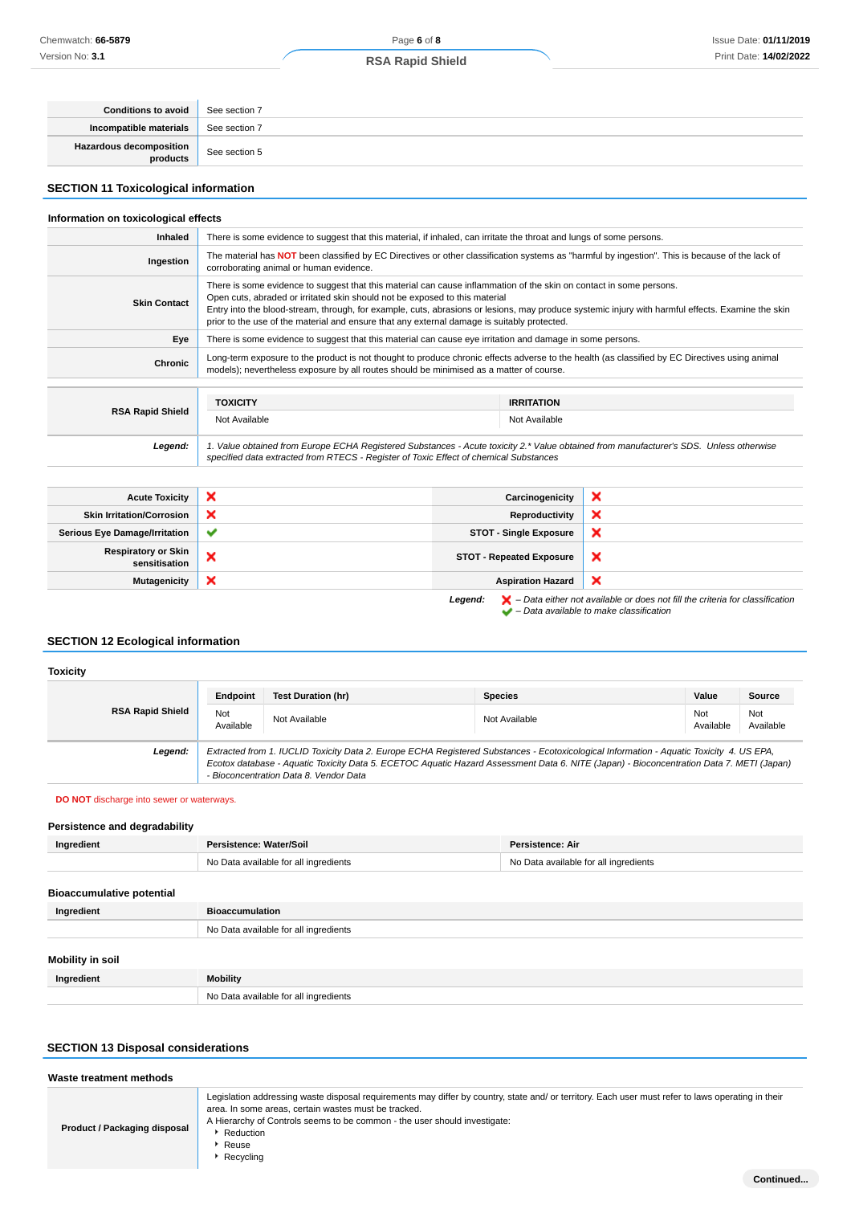| <b>Conditions to avoid</b>                  | See section 7 |
|---------------------------------------------|---------------|
| Incompatible materials                      | See section 7 |
| <b>Hazardous decomposition</b><br>products, | See section 5 |

# **SECTION 11 Toxicological information**

# **Information on toxicological effects**

| <b>Inhaled</b>          | There is some evidence to suggest that this material, if inhaled, can irritate the throat and lungs of some persons.                                                                                                                                                                                                                                                                                                                                   |                   |  |
|-------------------------|--------------------------------------------------------------------------------------------------------------------------------------------------------------------------------------------------------------------------------------------------------------------------------------------------------------------------------------------------------------------------------------------------------------------------------------------------------|-------------------|--|
| Ingestion               | The material has NOT been classified by EC Directives or other classification systems as "harmful by ingestion". This is because of the lack of<br>corroborating animal or human evidence.                                                                                                                                                                                                                                                             |                   |  |
| <b>Skin Contact</b>     | There is some evidence to suggest that this material can cause inflammation of the skin on contact in some persons.<br>Open cuts, abraded or irritated skin should not be exposed to this material<br>Entry into the blood-stream, through, for example, cuts, abrasions or lesions, may produce systemic injury with harmful effects. Examine the skin<br>prior to the use of the material and ensure that any external damage is suitably protected. |                   |  |
| Eye                     | There is some evidence to suggest that this material can cause eye irritation and damage in some persons.                                                                                                                                                                                                                                                                                                                                              |                   |  |
| Chronic                 | Long-term exposure to the product is not thought to produce chronic effects adverse to the health (as classified by EC Directives using animal<br>models); nevertheless exposure by all routes should be minimised as a matter of course.                                                                                                                                                                                                              |                   |  |
|                         |                                                                                                                                                                                                                                                                                                                                                                                                                                                        |                   |  |
|                         | <b>TOXICITY</b>                                                                                                                                                                                                                                                                                                                                                                                                                                        | <b>IRRITATION</b> |  |
| <b>RSA Rapid Shield</b> | Not Available                                                                                                                                                                                                                                                                                                                                                                                                                                          | Not Available     |  |
| Legend:                 | 1. Value obtained from Europe ECHA Registered Substances - Acute toxicity 2.* Value obtained from manufacturer's SDS. Unless otherwise<br>specified data extracted from RTECS - Register of Toxic Effect of chemical Substances                                                                                                                                                                                                                        |                   |  |

| <b>Acute Toxicity</b>                       | $\boldsymbol{\mathsf{x}}$ | Carcinogenicity                 | ×                                                                                                                                                                   |
|---------------------------------------------|---------------------------|---------------------------------|---------------------------------------------------------------------------------------------------------------------------------------------------------------------|
| <b>Skin Irritation/Corrosion</b>            | $\boldsymbol{\mathsf{x}}$ | Reproductivity                  | ×                                                                                                                                                                   |
| <b>Serious Eye Damage/Irritation</b>        | $\checkmark$              | <b>STOT - Single Exposure</b>   | ×                                                                                                                                                                   |
| <b>Respiratory or Skin</b><br>sensitisation | ×                         | <b>STOT - Repeated Exposure</b> | ×                                                                                                                                                                   |
| <b>Mutagenicity</b>                         | $\boldsymbol{\mathsf{x}}$ | <b>Aspiration Hazard</b>        | ×                                                                                                                                                                   |
|                                             |                           | Legend:                         | $\blacktriangleright$ - Data either not available or does not fill the criteria for classification<br>$\blacktriangleright$ - Data available to make classification |

# **SECTION 12 Ecological information**

#### **Toxicity**

|                         | Endpoint                                                                                                                                                                                                                                                                                                                       | <b>Test Duration (hr)</b> | <b>Species</b> | Value            | Source           |
|-------------------------|--------------------------------------------------------------------------------------------------------------------------------------------------------------------------------------------------------------------------------------------------------------------------------------------------------------------------------|---------------------------|----------------|------------------|------------------|
| <b>RSA Rapid Shield</b> | Not<br>Available                                                                                                                                                                                                                                                                                                               | Not Available             | Not Available  | Not<br>Available | Not<br>Available |
| Legend:                 | Extracted from 1. IUCLID Toxicity Data 2. Europe ECHA Registered Substances - Ecotoxicological Information - Aquatic Toxicity 4. US EPA.<br>Ecotox database - Aquatic Toxicity Data 5. ECETOC Aquatic Hazard Assessment Data 6. NITE (Japan) - Bioconcentration Data 7. METI (Japan)<br>- Bioconcentration Data 8. Vendor Data |                           |                |                  |                  |

#### **DO NOT** discharge into sewer or waterways.

# **Persistence and degradability**

| Ingredient                       | Persistence: Water/Soil               | <b>Persistence: Air</b>               |
|----------------------------------|---------------------------------------|---------------------------------------|
|                                  | No Data available for all ingredients | No Data available for all ingredients |
| <b>Bioaccumulative potential</b> |                                       |                                       |
| Ingredient                       | <b>Bioaccumulation</b>                |                                       |
|                                  | No Data available for all ingredients |                                       |

| Mobility in soil |                                       |
|------------------|---------------------------------------|
| Ingredient       | Mobility                              |
|                  | No Data available for all ingredients |

# **SECTION 13 Disposal considerations**

| Waste treatment methods      |                                                                                                                                                                                                                                                                                                                            |  |
|------------------------------|----------------------------------------------------------------------------------------------------------------------------------------------------------------------------------------------------------------------------------------------------------------------------------------------------------------------------|--|
| Product / Packaging disposal | Legislation addressing waste disposal requirements may differ by country, state and/ or territory. Each user must refer to laws operating in their<br>area. In some areas, certain wastes must be tracked.<br>A Hierarchy of Controls seems to be common - the user should investigate:<br>Reduction<br>Reuse<br>Recycling |  |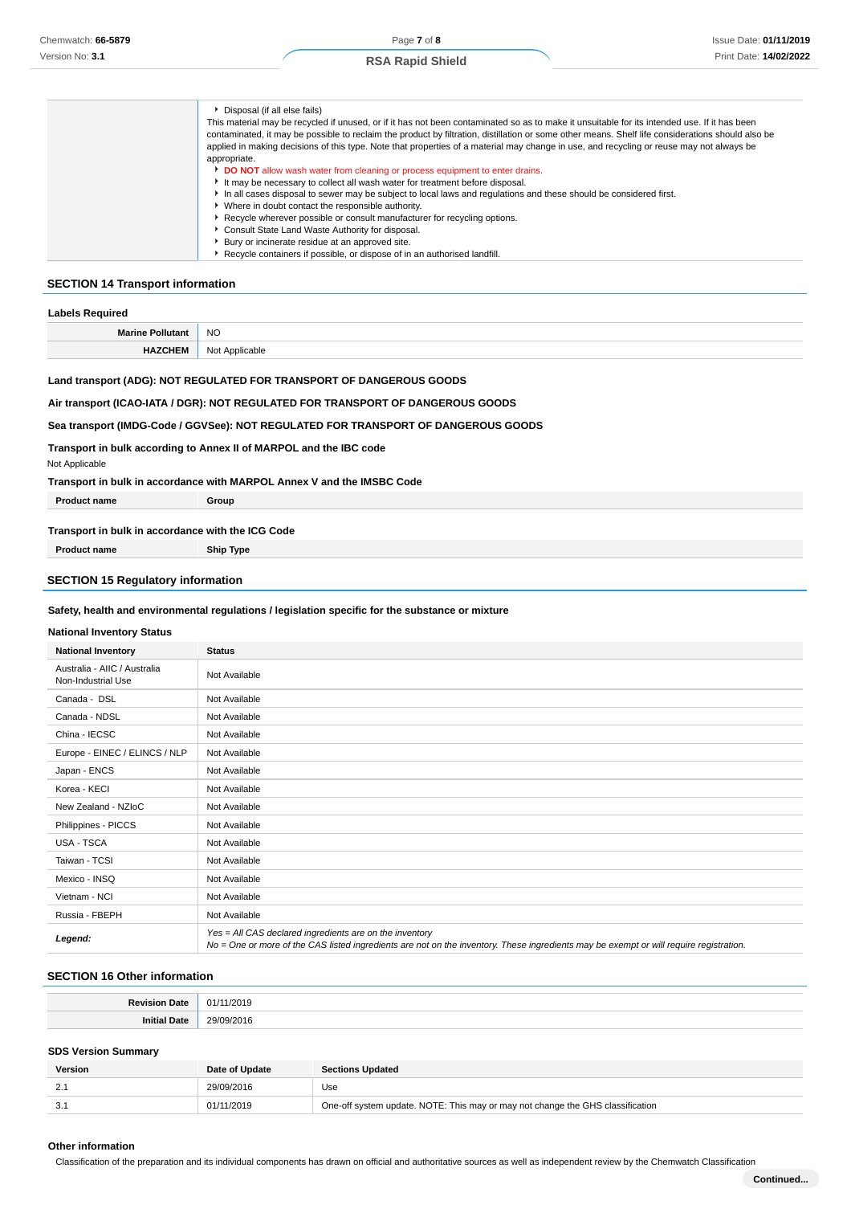#### Disposal (if all else fails) This material may be recycled if unused, or if it has not been contaminated so as to make it unsuitable for its intended use. If it has been contaminated, it may be possible to reclaim the product by filtration, distillation or some other means. Shelf life considerations should also be applied in making decisions of this type. Note that properties of a material may change in use, and recycling or reuse may not always be appropriate. **DO NOT** allow wash water from cleaning or process equipment to enter drains. ► It may be necessary to collect all wash water for treatment before disposal. In all cases disposal to sewer may be subject to local laws and regulations and these should be considered first. Where in doubt contact the responsible authority. Recycle wherever possible or consult manufacturer for recycling options. Consult State Land Waste Authority for disposal. Bury or incinerate residue at an approved site. Recycle containers if possible, or dispose of in an authorised landfill.

#### **SECTION 14 Transport information**

| Labels Required         |                |
|-------------------------|----------------|
| <b>Marine Pollutant</b> | <b>NO</b>      |
| <b>HAZCHEM</b>          | Not Applicable |

#### **Land transport (ADG): NOT REGULATED FOR TRANSPORT OF DANGEROUS GOODS**

#### **Air transport (ICAO-IATA / DGR): NOT REGULATED FOR TRANSPORT OF DANGEROUS GOODS**

#### **Sea transport (IMDG-Code / GGVSee): NOT REGULATED FOR TRANSPORT OF DANGEROUS GOODS**

**Transport in bulk according to Annex II of MARPOL and the IBC code**

#### **Transport in bulk in accordance with MARPOL Annex V and the IMSBC Code**

| <b>Product name</b>                | Group |
|------------------------------------|-------|
| $\overline{\phantom{0}}$<br>.<br>. |       |

# **Transport in bulk in accordance with the ICG Code**

**Product name Ship Type**

Not Applicable

#### **SECTION 15 Regulatory information**

#### **Safety, health and environmental regulations / legislation specific for the substance or mixture**

#### **National Inventory Status**

| <b>National Inventory</b>                          | <b>Status</b>                                                                                                                                                                                     |  |
|----------------------------------------------------|---------------------------------------------------------------------------------------------------------------------------------------------------------------------------------------------------|--|
| Australia - AIIC / Australia<br>Non-Industrial Use | Not Available                                                                                                                                                                                     |  |
| Canada - DSL                                       | Not Available                                                                                                                                                                                     |  |
| Canada - NDSL                                      | Not Available                                                                                                                                                                                     |  |
| China - IECSC                                      | Not Available                                                                                                                                                                                     |  |
| Europe - EINEC / ELINCS / NLP                      | Not Available                                                                                                                                                                                     |  |
| Japan - ENCS                                       | Not Available                                                                                                                                                                                     |  |
| Korea - KECI                                       | Not Available                                                                                                                                                                                     |  |
| New Zealand - NZIoC                                | Not Available                                                                                                                                                                                     |  |
| Philippines - PICCS                                | Not Available                                                                                                                                                                                     |  |
| USA - TSCA                                         | Not Available                                                                                                                                                                                     |  |
| Taiwan - TCSI                                      | Not Available                                                                                                                                                                                     |  |
| Mexico - INSQ                                      | Not Available                                                                                                                                                                                     |  |
| Vietnam - NCI                                      | Not Available                                                                                                                                                                                     |  |
| Russia - FBEPH                                     | Not Available                                                                                                                                                                                     |  |
| Legend:                                            | Yes = All CAS declared ingredients are on the inventory<br>No = One or more of the CAS listed ingredients are not on the inventory. These ingredients may be exempt or will require registration. |  |

#### **SECTION 16 Other information**

| <b>Povicion</b><br>Date | 11/2019<br>01/1 |
|-------------------------|-----------------|
| <b>Initi-</b><br>Date   | 29/09/2016      |

#### **SDS Version Summary**

| <b>Version</b> | Date of Update | <b>Sections Updated</b>                                                        |
|----------------|----------------|--------------------------------------------------------------------------------|
| <u>.</u>       | 29/09/2016     | Use                                                                            |
| J.             | 01/11/2019     | One-off system update. NOTE: This may or may not change the GHS classification |

#### **Other information**

Classification of the preparation and its individual components has drawn on official and authoritative sources as well as independent review by the Chemwatch Classification